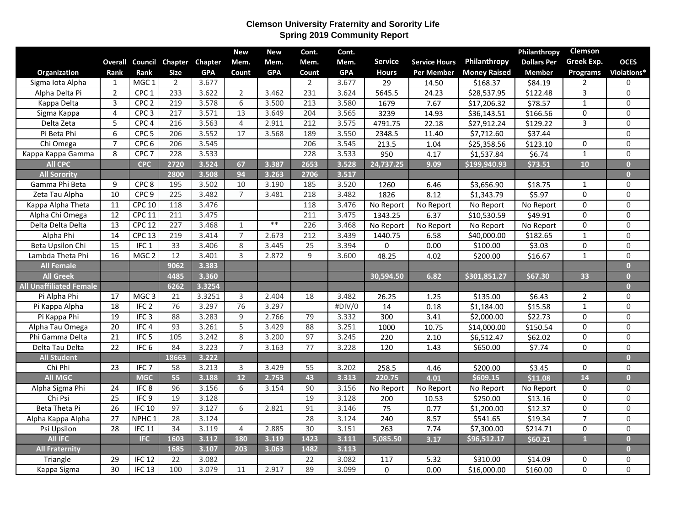## **Clemson University Fraternity and Sorority Life Spring 2019 Community Report**

|                                |                 |                   |                 |            | <b>New</b>     | <b>New</b> | Cont.           | Cont.      |                  |                      |                     | Philanthropy       | Clemson        |                     |
|--------------------------------|-----------------|-------------------|-----------------|------------|----------------|------------|-----------------|------------|------------------|----------------------|---------------------|--------------------|----------------|---------------------|
|                                | Overall         |                   | Council Chapter | Chapter    | Mem.           | Mem.       | Mem.            | Mem.       | <b>Service</b>   | <b>Service Hours</b> | Philanthropy        | <b>Dollars Per</b> | Greek Exp.     | <b>OCES</b>         |
| Organization                   | Rank            | Rank              | <b>Size</b>     | <b>GPA</b> | Count          | <b>GPA</b> | Count           | <b>GPA</b> | <b>Hours</b>     | <b>Per Member</b>    | <b>Money Raised</b> | <b>Member</b>      | Programs       | Violations*         |
| Sigma Iota Alpha               | 1               | MGC <sub>1</sub>  | 2               | 3.677      |                |            | 2               | 3.677      | 29               | 14.50                | \$168.37            | \$84.19            | $\mathbf{2}$   | $\mathbf 0$         |
| Alpha Delta Pi                 | $\overline{2}$  | CPC <sub>1</sub>  | 233             | 3.622      | $\overline{2}$ | 3.462      | 231             | 3.624      | 5645.5           | 24.23                | \$28,537.95         | \$122.48           | 3              | $\mathbf 0$         |
| Kappa Delta                    | 3               | CPC <sub>2</sub>  | 219             | 3.578      | 6              | 3.500      | 213             | 3.580      | 1679             | 7.67                 | \$17,206.32         | \$78.57            | $\mathbf{1}$   | $\mathbf 0$         |
| Sigma Kappa                    | $\overline{4}$  | CPC <sub>3</sub>  | 217             | 3.571      | 13             | 3.649      | 204             | 3.565      | 3239             | 14.93                | \$36,143.51         | \$166.56           | 0              | $\overline{0}$      |
| Delta Zeta                     | 5               | CPC <sub>4</sub>  | 216             | 3.563      | $\overline{4}$ | 2.911      | 212             | 3.575      | 4791.75          | 22.18                | \$27,912.24         | \$129.22           | $\overline{3}$ | $\mathbf 0$         |
| Pi Beta Phi                    | 6               | CPC <sub>5</sub>  | 206             | 3.552      | 17             | 3.568      | 189             | 3.550      | 2348.5           | 11.40                | \$7,712.60          | \$37.44            |                | $\mathsf{O}\xspace$ |
| Chi Omega                      | $\overline{7}$  | CPC <sub>6</sub>  | 206             | 3.545      |                |            | 206             | 3.545      | 213.5            | 1.04                 | \$25,358.56         | \$123.10           | 0              | $\mathsf{O}\xspace$ |
| Kappa Kappa Gamma              | 8               | CPC <sub>7</sub>  | 228             | 3.533      |                |            | 228             | 3.533      | 950              | 4.17                 | \$1,537.84          | \$6.74             | $\mathbf{1}$   | $\overline{0}$      |
| <b>All CPC</b>                 |                 | <b>CPC</b>        | 2720            | 3.524      | 67             | 3.387      | 2653            | 3.528      | 24,737.25        | 9.09                 | \$199,940.93        | \$73.51            | 10             | $\overline{0}$      |
| <b>All Sorority</b>            |                 |                   | 2800            | 3.508      | 94             | 3.263      | 2706            | 3.517      |                  |                      |                     |                    |                | $\bullet$           |
| Gamma Phi Beta                 | 9               | CPC <sub>8</sub>  | 195             | 3.502      | 10             | 3.190      | 185             | 3.520      | 1260             | 6.46                 | \$3,656.90          | \$18.75            | $\mathbf{1}$   | $\mathsf{O}\xspace$ |
| Zeta Tau Alpha                 | 10              | CPC <sub>9</sub>  | 225             | 3.482      | $\overline{7}$ | 3.481      | 218             | 3.482      | 1826             | 8.12                 | \$1,343.79          | \$5.97             | 0              | $\mathsf{O}\xspace$ |
| Kappa Alpha Theta              | 11              | <b>CPC 10</b>     | 118             | 3.476      |                |            | 118             | 3.476      | No Report        | No Report            | No Report           | No Report          | 0              | $\mathsf{O}\xspace$ |
| Alpha Chi Omega                | $\overline{12}$ | <b>CPC 11</b>     | 211             | 3.475      |                |            | 211             | 3.475      | 1343.25          | 6.37                 | \$10,530.59         | \$49.91            | $\mathbf 0$    | $\mathbf 0$         |
| Delta Delta Delta              | $\overline{13}$ | <b>CPC 12</b>     | 227             | 3.468      | $\mathbf{1}$   | $**$       | 226             | 3.468      | No Report        | No Report            | No Report           | No Report          | $\Omega$       | $\mathsf 0$         |
| Alpha Phi                      | 14              | <b>CPC 13</b>     | 219             | 3.414      | $\overline{7}$ | 2.673      | 212             | 3.439      | 1440.75          | 6.58                 | \$40,000.00         | \$182.65           | $\mathbf{1}$   | $\mathsf 0$         |
| Beta Upsilon Chi               | $\overline{15}$ | IFC <sub>1</sub>  | 33              | 3.406      | 8              | 3.445      | $\overline{25}$ | 3.394      | 0                | 0.00                 | \$100.00            | \$3.03             | 0              | $\mathsf 0$         |
| Lambda Theta Phi               | 16              | MGC <sub>2</sub>  | 12              | 3.401      | 3              | 2.872      | 9               | 3.600      | 48.25            | 4.02                 | \$200.00            | \$16.67            | $\mathbf{1}$   | $\mathsf{O}\xspace$ |
| <b>All Female</b>              |                 |                   | 9062            | 3.383      |                |            |                 |            |                  |                      |                     |                    |                | $\bullet$           |
| <b>All Greek</b>               |                 |                   | 4485            | 3.360      |                |            |                 |            | 30,594.50        | 6.82                 | \$301,851.27        | \$67.30            | 33             | $\mathbf{0}$        |
| <b>All Unaffiliated Female</b> |                 |                   | 6262            | 3.3254     |                |            |                 |            |                  |                      |                     |                    |                | $\overline{0}$      |
| Pi Alpha Phi                   | 17              | MGC <sub>3</sub>  | 21              | 3.3251     | 3              | 2.404      | 18              | 3.482      | 26.25            | 1.25                 | \$135.00            | \$6.43             | $\overline{2}$ | $\mathbf 0$         |
| Pi Kappa Alpha                 | $\overline{18}$ | IFC <sub>2</sub>  | 76              | 3.297      | 76             | 3.297      |                 | #DIV/0     | 14               | 0.18                 | \$1,184.00          | \$15.58            | $\mathbf{1}$   | $\mathbf 0$         |
| Pi Kappa Phi                   | $\overline{19}$ | IFC3              | 88              | 3.283      | $\overline{9}$ | 2.766      | 79              | 3.332      | $\overline{300}$ | 3.41                 | \$2,000.00          | \$22.73            | 0              | $\mathbf 0$         |
| Alpha Tau Omega                | $\overline{20}$ | IFC <sub>4</sub>  | 93              | 3.261      | $\overline{5}$ | 3.429      | 88              | 3.251      | 1000             | 10.75                | \$14,000.00         | \$150.54           | 0              | $\mathsf{O}\xspace$ |
| Phi Gamma Delta                | 21              | IFC <sub>5</sub>  | 105             | 3.242      | 8              | 3.200      | 97              | 3.245      | 220              | 2.10                 | \$6,512.47          | \$62.02            | 0              | $\mathsf{O}\xspace$ |
| Delta Tau Delta                | $\overline{22}$ | IFC <sub>6</sub>  | 84              | 3.223      | $\overline{7}$ | 3.163      | 77              | 3.228      | 120              | 1.43                 | \$650.00            | \$7.74             | 0              | $\mathbf 0$         |
| <b>All Student</b>             |                 |                   | 18663           | 3.222      |                |            |                 |            |                  |                      |                     |                    |                | $\overline{0}$      |
| Chi Phi                        | 23              | IFC <sub>7</sub>  | 58              | 3.213      | 3              | 3.429      | 55              | 3.202      | 258.5            | 4.46                 | \$200.00            | \$3.45             | 0              | $\mathbf 0$         |
| All MGC                        |                 | <b>MGC</b>        | 55              | 3.188      | 12             | 2.753      | 43              | 3.313      | 220.75           | 4.01                 | \$609.15            | \$11.08            | 14             | $\overline{0}$      |
| Alpha Sigma Phi                | $\overline{24}$ | IFC <sub>8</sub>  | 96              | 3.156      | 6              | 3.154      | 90              | 3.156      | No Report        | No Report            | No Report           | No Report          | 0              | $\mathbf 0$         |
| Chi Psi                        | $\overline{25}$ | IFC9              | 19              | 3.128      |                |            | 19              | 3.128      | 200              | 10.53                | \$250.00            | \$13.16            | 0              | $\overline{0}$      |
| Beta Theta Pi                  | $\overline{26}$ | <b>IFC 10</b>     | 97              | 3.127      | 6              | 2.821      | 91              | 3.146      | 75               | 0.77                 | \$1,200.00          | \$12.37            | 0              | $\mathsf{O}\xspace$ |
| Alpha Kappa Alpha              | $\overline{27}$ | NPHC <sub>1</sub> | 28              | 3.124      |                |            | 28              | 3.124      | 240              | 8.57                 | \$541.65            | \$19.34            | $\overline{7}$ | $\overline{0}$      |
| Psi Upsilon                    | 28              | IFC 11            | 34              | 3.119      | $\overline{4}$ | 2.885      | 30              | 3.151      | 263              | 7.74                 | \$7,300.00          | \$214.71           | $\mathbf 0$    | $\mathsf{O}\xspace$ |
| <b>All IFC</b>                 |                 | <b>IFC</b>        | 1603            | 3.112      | 180            | 3.119      | 1423            | 3.111      | 5,085.50         | 3.17                 | \$96,512.17         | \$60.21            | $\overline{1}$ | $\bullet$           |
| <b>All Fraternity</b>          |                 |                   | 1685            | 3.107      | 203            | 3.063      | 1482            | 3.113      |                  |                      |                     |                    |                | $\overline{0}$      |
| Triangle                       | 29              | IFC $12$          | 22              | 3.082      |                |            | 22              | 3.082      | 117              | 5.32                 | \$310.00            | \$14.09            | 0              | $\boldsymbol{0}$    |
| Kappa Sigma                    | $\overline{30}$ | IFC <sub>13</sub> | 100             | 3.079      | 11             | 2.917      | 89              | 3.099      | $\Omega$         | 0.00                 | \$16,000.00         | \$160.00           | $\overline{0}$ | $\mathsf{O}$        |